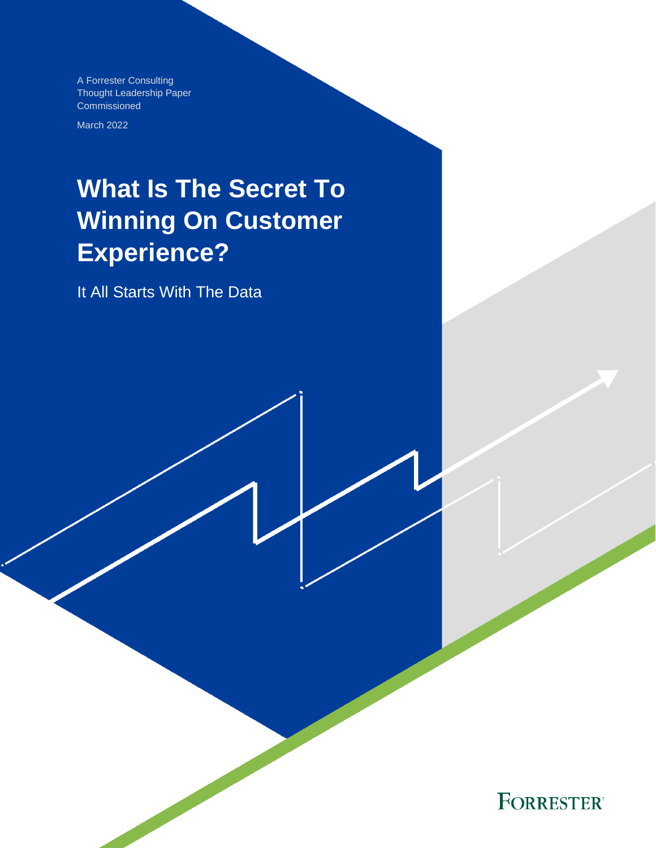A Forrester Consulting Thought Leadership Paper Commissioned

March 2022

# **What Is The Secret To Winning On Customer Experience?**

It All Starts With The Data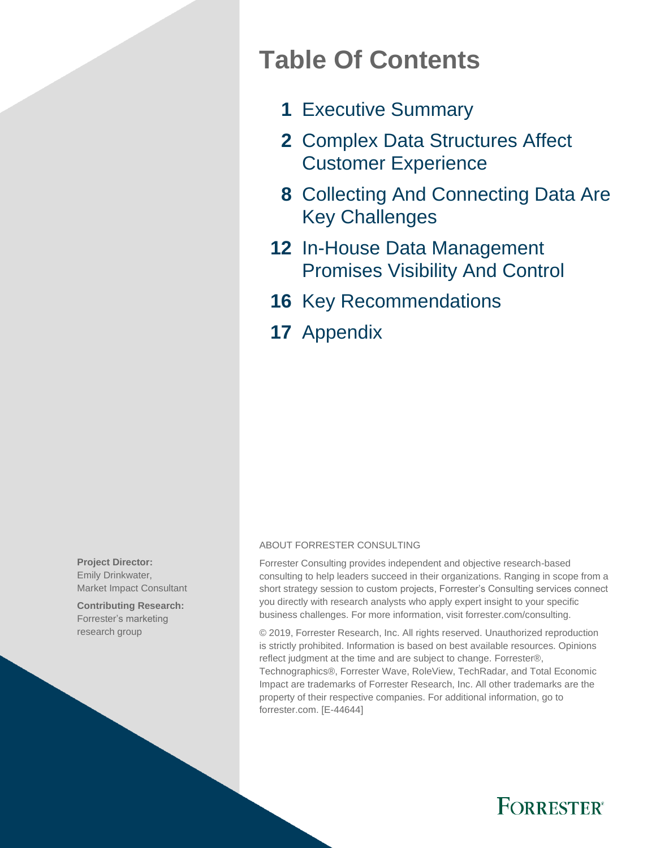# **Table Of Contents**

- **1** Executive Summary
- **2** Complex Data Structures Affect Customer Experience
- **8** Collecting And Connecting Data Are Key Challenges
- **12** In-House Data Management Promises Visibility And Control
- **16** Key Recommendations
- **17** Appendix

**Project Director:** Emily Drinkwater, Market Impact Consultant

**Contributing Research:**  Forrester's marketing research group

#### ABOUT FORRESTER CONSULTING

Forrester Consulting provides independent and objective research-based consulting to help leaders succeed in their organizations. Ranging in scope from a short strategy session to custom projects, Forrester's Consulting services connect you directly with research analysts who apply expert insight to your specific business challenges. For more information, visit forrester.com/consulting.

© 2019, Forrester Research, Inc. All rights reserved. Unauthorized reproduction is strictly prohibited. Information is based on best available resources. Opinions reflect judgment at the time and are subject to change. Forrester®, Technographics®, Forrester Wave, RoleView, TechRadar, and Total Economic Impact are trademarks of Forrester Research, Inc. All other trademarks are the property of their respective companies. For additional information, go to forrester.com. [E-44644]

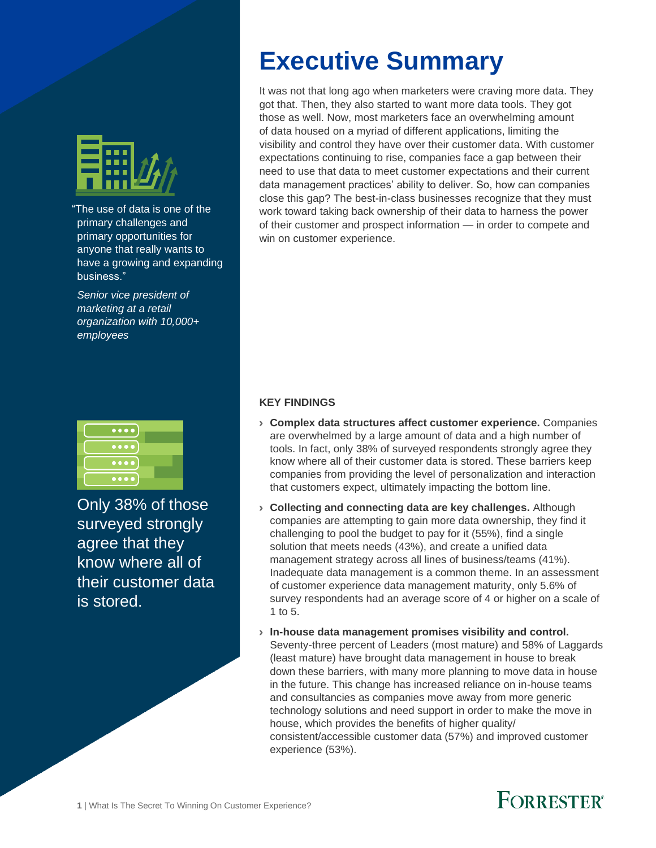

"The use of data is one of the primary challenges and primary opportunities for anyone that really wants to have a growing and expanding business."

*Senior vice president of marketing at a retail organization with 10,000+ employees*



Only 38% of those surveyed strongly agree that they know where all of their customer data is stored.

# **Executive Summary**

It was not that long ago when marketers were craving more data. They got that. Then, they also started to want more data tools. They got those as well. Now, most marketers face an overwhelming amount of data housed on a myriad of different applications, limiting the visibility and control they have over their customer data. With customer expectations continuing to rise, companies face a gap between their need to use that data to meet customer expectations and their current data management practices' ability to deliver. So, how can companies close this gap? The best-in-class businesses recognize that they must work toward taking back ownership of their data to harness the power of their customer and prospect information — in order to compete and win on customer experience.

#### **KEY FINDINGS**

- › **Complex data structures affect customer experience.** Companies are overwhelmed by a large amount of data and a high number of tools. In fact, only 38% of surveyed respondents strongly agree they know where all of their customer data is stored. These barriers keep companies from providing the level of personalization and interaction that customers expect, ultimately impacting the bottom line.
- › **Collecting and connecting data are key challenges.** Although companies are attempting to gain more data ownership, they find it challenging to pool the budget to pay for it (55%), find a single solution that meets needs (43%), and create a unified data management strategy across all lines of business/teams (41%). Inadequate data management is a common theme. In an assessment of customer experience data management maturity, only 5.6% of survey respondents had an average score of 4 or higher on a scale of 1 to 5.
- › **In-house data management promises visibility and control.**  Seventy-three percent of Leaders (most mature) and 58% of Laggards (least mature) have brought data management in house to break down these barriers, with many more planning to move data in house in the future. This change has increased reliance on in-house teams and consultancies as companies move away from more generic technology solutions and need support in order to make the move in house, which provides the benefits of higher quality/ consistent/accessible customer data (57%) and improved customer experience (53%).

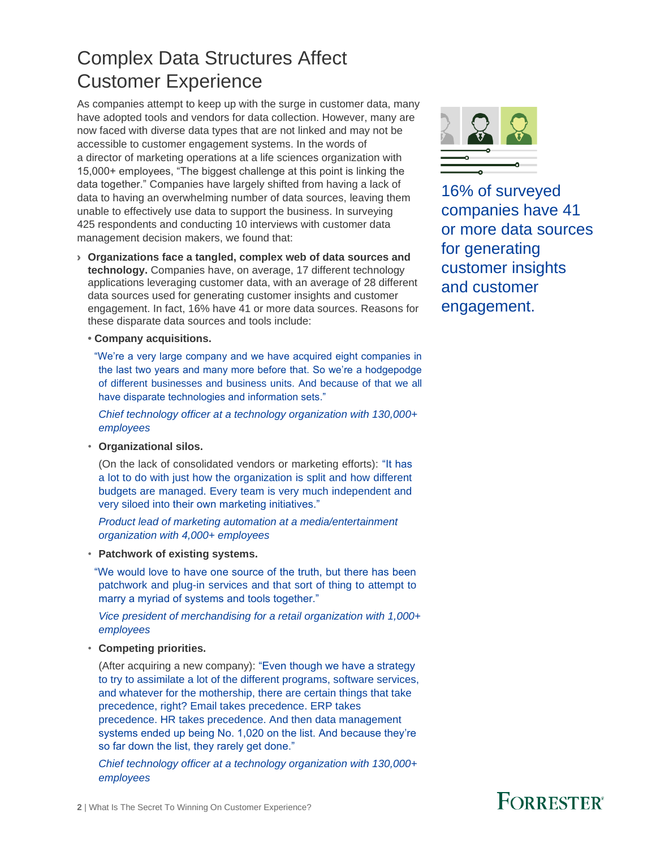### Complex Data Structures Affect Customer Experience

As companies attempt to keep up with the surge in customer data, many have adopted tools and vendors for data collection. However, many are now faced with diverse data types that are not linked and may not be accessible to customer engagement systems. In the words of a director of marketing operations at a life sciences organization with 15,000+ employees, "The biggest challenge at this point is linking the data together." Companies have largely shifted from having a lack of data to having an overwhelming number of data sources, leaving them unable to effectively use data to support the business. In surveying 425 respondents and conducting 10 interviews with customer data management decision makers, we found that:

- › **Organizations face a tangled, complex web of data sources and technology.** Companies have, on average, 17 different technology applications leveraging customer data, with an average of 28 different data sources used for generating customer insights and customer engagement. In fact, 16% have 41 or more data sources. Reasons for these disparate data sources and tools include:
	- **• Company acquisitions.**

"We're a very large company and we have acquired eight companies in the last two years and many more before that. So we're a hodgepodge of different businesses and business units. And because of that we all have disparate technologies and information sets."

*Chief technology officer at a technology organization with 130,000+ employees*

• **Organizational silos.**

(On the lack of consolidated vendors or marketing efforts): "It has a lot to do with just how the organization is split and how different budgets are managed. Every team is very much independent and very siloed into their own marketing initiatives."

*Product lead of marketing automation at a media/entertainment organization with 4,000+ employees*

• **Patchwork of existing systems.**

"We would love to have one source of the truth, but there has been patchwork and plug-in services and that sort of thing to attempt to marry a myriad of systems and tools together."

*Vice president of merchandising for a retail organization with 1,000+ employees*

• **Competing priorities.**

(After acquiring a new company): "Even though we have a strategy to try to assimilate a lot of the different programs, software services, and whatever for the mothership, there are certain things that take precedence, right? Email takes precedence. ERP takes precedence. HR takes precedence. And then data management systems ended up being No. 1,020 on the list. And because they're so far down the list, they rarely get done."

*Chief technology officer at a technology organization with 130,000+ employees*



16% of surveyed companies have 41 or more data sources for generating customer insights and customer engagement.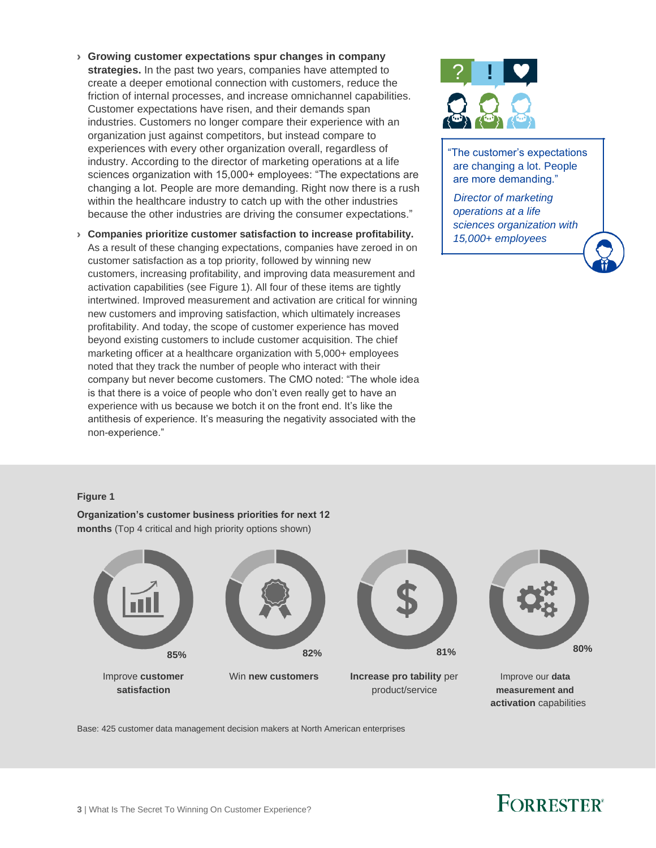- › **Growing customer expectations spur changes in company strategies.** In the past two years, companies have attempted to create a deeper emotional connection with customers, reduce the friction of internal processes, and increase omnichannel capabilities. Customer expectations have risen, and their demands span industries. Customers no longer compare their experience with an organization just against competitors, but instead compare to experiences with every other organization overall, regardless of industry. According to the director of marketing operations at a life sciences organization with 15,000+ employees: "The expectations are changing a lot. People are more demanding. Right now there is a rush within the healthcare industry to catch up with the other industries because the other industries are driving the consumer expectations."
- › **Companies prioritize customer satisfaction to increase profitability.** As a result of these changing expectations, companies have zeroed in on customer satisfaction as a top priority, followed by winning new customers, increasing profitability, and improving data measurement and activation capabilities (see Figure 1). All four of these items are tightly intertwined. Improved measurement and activation are critical for winning new customers and improving satisfaction, which ultimately increases profitability. And today, the scope of customer experience has moved beyond existing customers to include customer acquisition. The chief marketing officer at a healthcare organization with 5,000+ employees noted that they track the number of people who interact with their company but never become customers. The CMO noted: "The whole idea is that there is a voice of people who don't even really get to have an experience with us because we botch it on the front end. It's like the antithesis of experience. It's measuring the negativity associated with the non-experience."



"The customer's expectations are changing a lot. People are more demanding."

*Director of marketing operations at a life sciences organization with 15,000+ employees*

#### **Figure 1**

**Organization's customer business priorities for next 12 months** (Top 4 critical and high priority options shown)







Improve **customer** Win **new customers Increase pro tability** per Improve our **data satisfaction** product/service **measurement and**



**activation** capabilities

Base: 425 customer data management decision makers at North American enterprises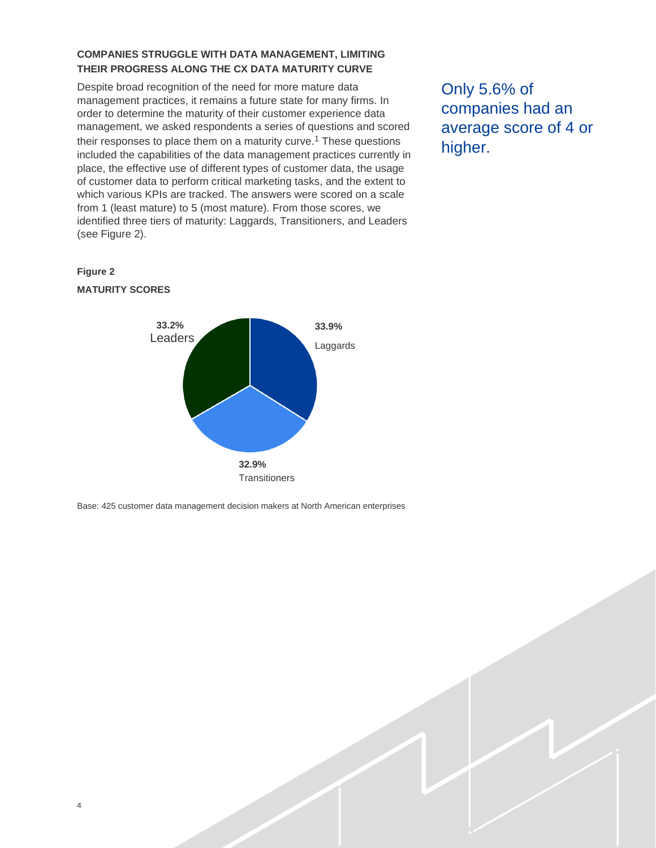#### **COMPANIES STRUGGLE WITH DATA MANAGEMENT, LIMITING THEIR PROGRESS ALONG THE CX DATA MATURITY CURVE**

Despite broad recognition of the need for more mature data management practices, it remains a future state for many firms. In order to determine the maturity of their customer experience data management, we asked respondents a series of questions and scored their responses to place them on a maturity curve.<sup>1</sup> These questions included the capabilities of the data management practices currently in place, the effective use of different types of customer data, the usage of customer data to perform critical marketing tasks, and the extent to which various KPIs are tracked. The answers were scored on a scale from 1 (least mature) to 5 (most mature). From those scores, we identified three tiers of maturity: Laggards, Transitioners, and Leaders (see Figure 2).

Only 5.6% of companies had an average score of 4 or higher.

#### **Figure 2 MATURITY SCORES**

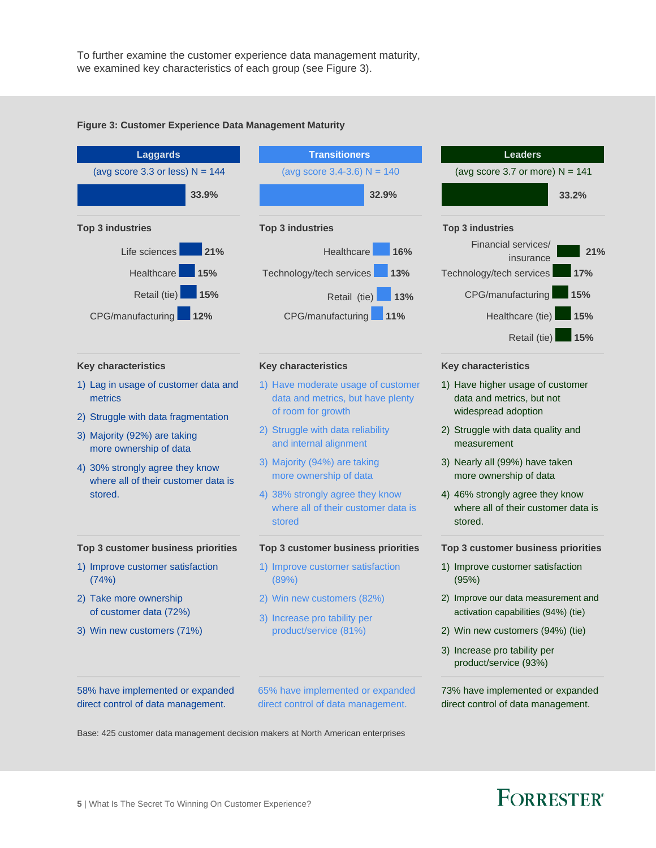To further examine the customer experience data management maturity, we examined key characteristics of each group (see Figure 3).



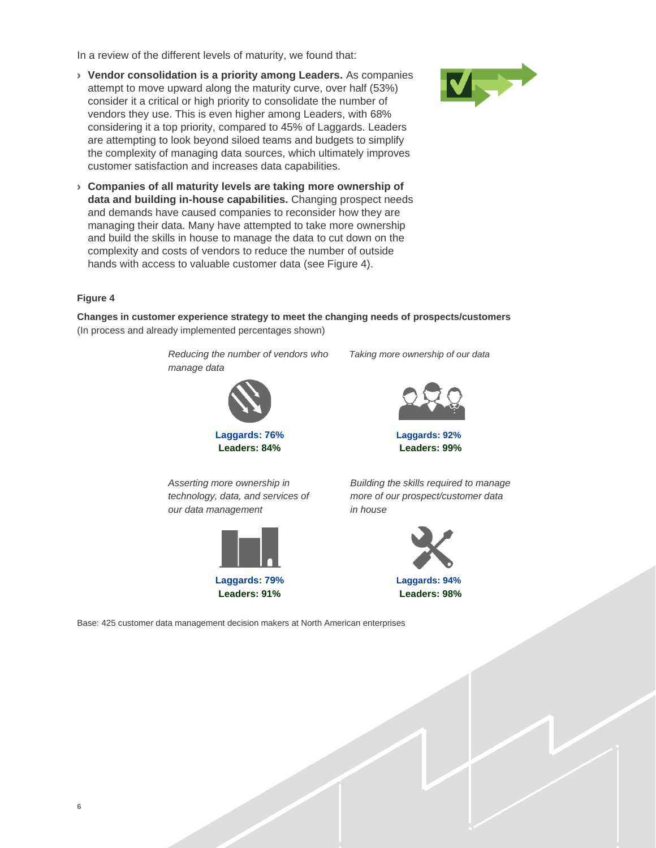In a review of the different levels of maturity, we found that:

› **Vendor consolidation is a priority among Leaders.** As companies attempt to move upward along the maturity curve, over half (53%) consider it a critical or high priority to consolidate the number of vendors they use. This is even higher among Leaders, with 68% considering it a top priority, compared to 45% of Laggards. Leaders are attempting to look beyond siloed teams and budgets to simplify the complexity of managing data sources, which ultimately improves customer satisfaction and increases data capabilities.



› **Companies of all maturity levels are taking more ownership of data and building in-house capabilities.** Changing prospect needs and demands have caused companies to reconsider how they are managing their data. Many have attempted to take more ownership and build the skills in house to manage the data to cut down on the complexity and costs of vendors to reduce the number of outside hands with access to valuable customer data (see Figure 4).

#### **Figure 4**

**Changes in customer experience strategy to meet the changing needs of prospects/customers** (In process and already implemented percentages shown)

> *Reducing the number of vendors who Taking more ownership of our data manage data*



**Leaders: 84% Leaders: 99%**



**Laggards: 76% Laggards: 92%**

*Asserting more ownership in technology, data, and services of our data management*



*Building the skills required to manage more of our prospect/customer data in house*



**Leaders: 91% Leaders: 98%**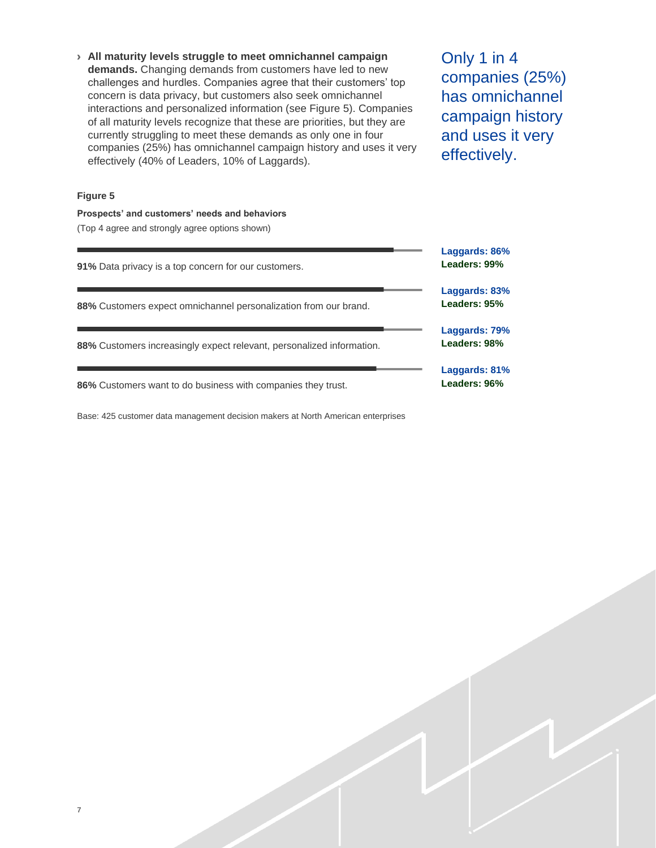› **All maturity levels struggle to meet omnichannel campaign demands.** Changing demands from customers have led to new challenges and hurdles. Companies agree that their customers' top concern is data privacy, but customers also seek omnichannel interactions and personalized information (see Figure 5). Companies of all maturity levels recognize that these are priorities, but they are currently struggling to meet these demands as only one in four companies (25%) has omnichannel campaign history and uses it very effectively (40% of Leaders, 10% of Laggards).

Only 1 in 4 companies (25%) has omnichannel campaign history and uses it very effectively.

#### **Figure 5**

**Prospects' and customers' needs and behaviors**  (Top 4 agree and strongly agree options shown)

| 91% Data privacy is a top concern for our customers.                  | Laggards: 86%<br>Leaders: 99% |
|-----------------------------------------------------------------------|-------------------------------|
| 88% Customers expect omnichannel personalization from our brand.      | Laggards: 83%<br>Leaders: 95% |
| 88% Customers increasingly expect relevant, personalized information. | Laggards: 79%<br>Leaders: 98% |
| 86% Customers want to do business with companies they trust.          | Laggards: 81%<br>Leaders: 96% |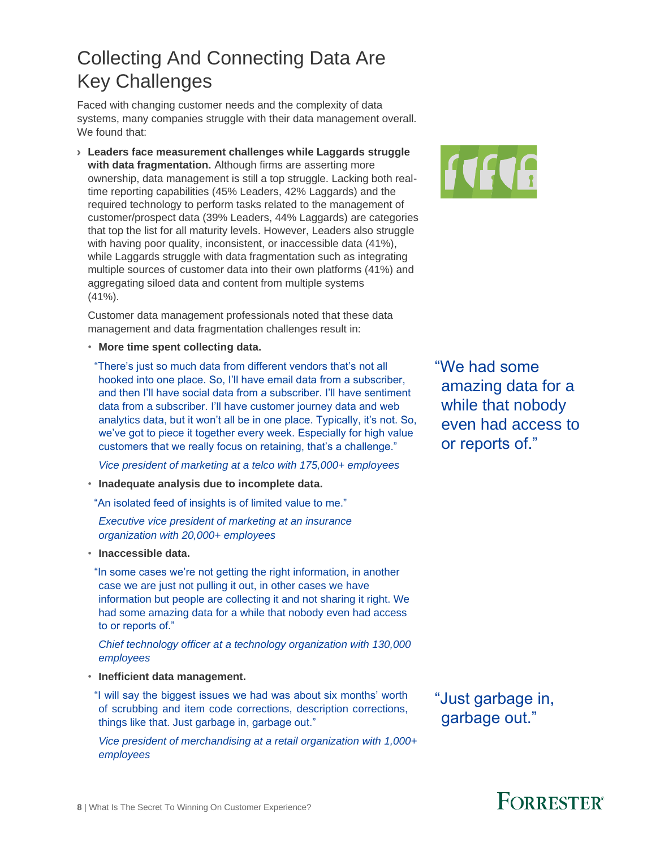### Collecting And Connecting Data Are Key Challenges

Faced with changing customer needs and the complexity of data systems, many companies struggle with their data management overall. We found that:

› **Leaders face measurement challenges while Laggards struggle with data fragmentation.** Although firms are asserting more ownership, data management is still a top struggle. Lacking both realtime reporting capabilities (45% Leaders, 42% Laggards) and the required technology to perform tasks related to the management of customer/prospect data (39% Leaders, 44% Laggards) are categories that top the list for all maturity levels. However, Leaders also struggle with having poor quality, inconsistent, or inaccessible data (41%), while Laggards struggle with data fragmentation such as integrating multiple sources of customer data into their own platforms (41%) and aggregating siloed data and content from multiple systems  $(41\%)$ .

Customer data management professionals noted that these data management and data fragmentation challenges result in:

• **More time spent collecting data.**

"There's just so much data from different vendors that's not all hooked into one place. So, I'll have email data from a subscriber, and then I'll have social data from a subscriber. I'll have sentiment data from a subscriber. I'll have customer journey data and web analytics data, but it won't all be in one place. Typically, it's not. So, we've got to piece it together every week. Especially for high value customers that we really focus on retaining, that's a challenge."

*Vice president of marketing at a telco with 175,000+ employees*

- **Inadequate analysis due to incomplete data.**
- "An isolated feed of insights is of limited value to me."

#### *Executive vice president of marketing at an insurance organization with 20,000+ employees*

• **Inaccessible data.**

"In some cases we're not getting the right information, in another case we are just not pulling it out, in other cases we have information but people are collecting it and not sharing it right. We had some amazing data for a while that nobody even had access to or reports of."

*Chief technology officer at a technology organization with 130,000 employees*

- **Inefficient data management.**
- "I will say the biggest issues we had was about six months' worth of scrubbing and item code corrections, description corrections, things like that. Just garbage in, garbage out."

*Vice president of merchandising at a retail organization with 1,000+ employees*

"We had some amazing data for a while that nobody even had access to or reports of."

"Just garbage in, garbage out."



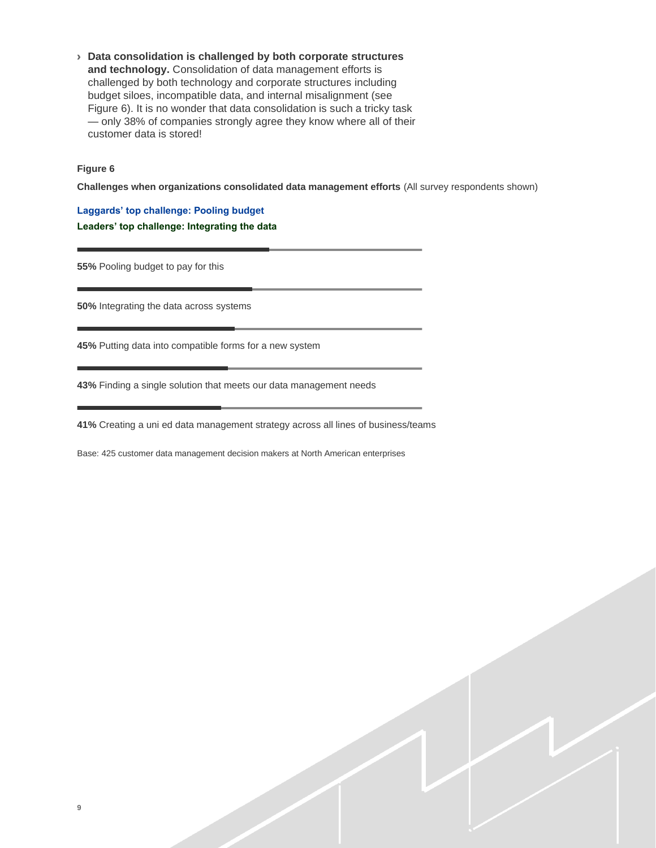› **Data consolidation is challenged by both corporate structures and technology.** Consolidation of data management efforts is challenged by both technology and corporate structures including budget siloes, incompatible data, and internal misalignment (see Figure 6). It is no wonder that data consolidation is such a tricky task — only 38% of companies strongly agree they know where all of their customer data is stored!

#### **Figure 6**

**Challenges when organizations consolidated data management efforts** (All survey respondents shown)

**Laggards' top challenge: Pooling budget Leaders' top challenge: Integrating the data**

**55%** Pooling budget to pay for this

**50%** Integrating the data across systems

**45%** Putting data into compatible forms for a new system

**43%** Finding a single solution that meets our data management needs

**41%** Creating a uni ed data management strategy across all lines of business/teams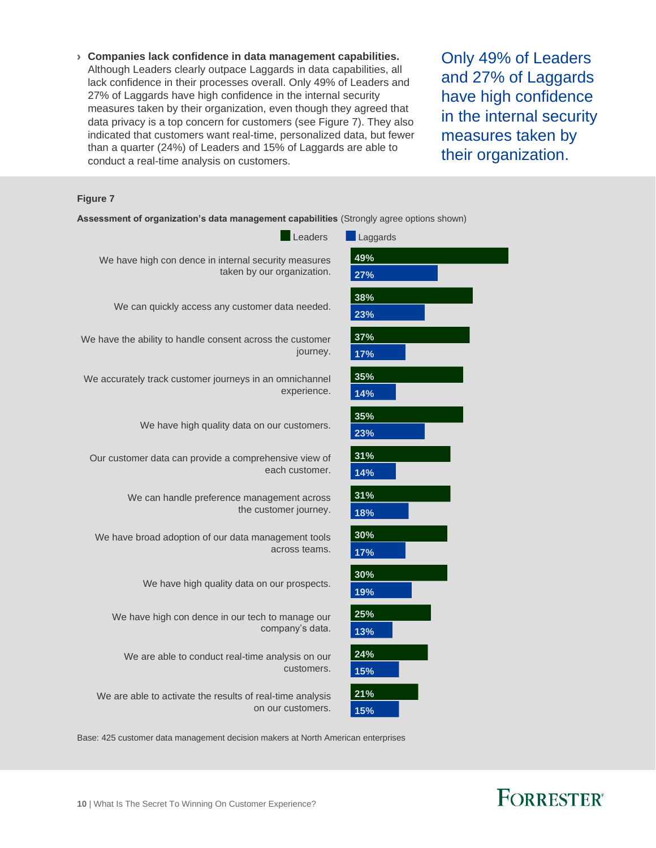› **Companies lack confidence in data management capabilities.**  Although Leaders clearly outpace Laggards in data capabilities, all lack confidence in their processes overall. Only 49% of Leaders and 27% of Laggards have high confidence in the internal security measures taken by their organization, even though they agreed that data privacy is a top concern for customers (see Figure 7). They also indicated that customers want real-time, personalized data, but fewer than a quarter (24%) of Leaders and 15% of Laggards are able to conduct a real-time analysis on customers.

Only 49% of Leaders and 27% of Laggards have high confidence in the internal security measures taken by their organization.

#### **Figure 7**

|  |  | Assessment of organization's data management capabilities (Strongly agree options shown) |  |  |  |
|--|--|------------------------------------------------------------------------------------------|--|--|--|
|--|--|------------------------------------------------------------------------------------------|--|--|--|



Base: 425 customer data management decision makers at North American enterprises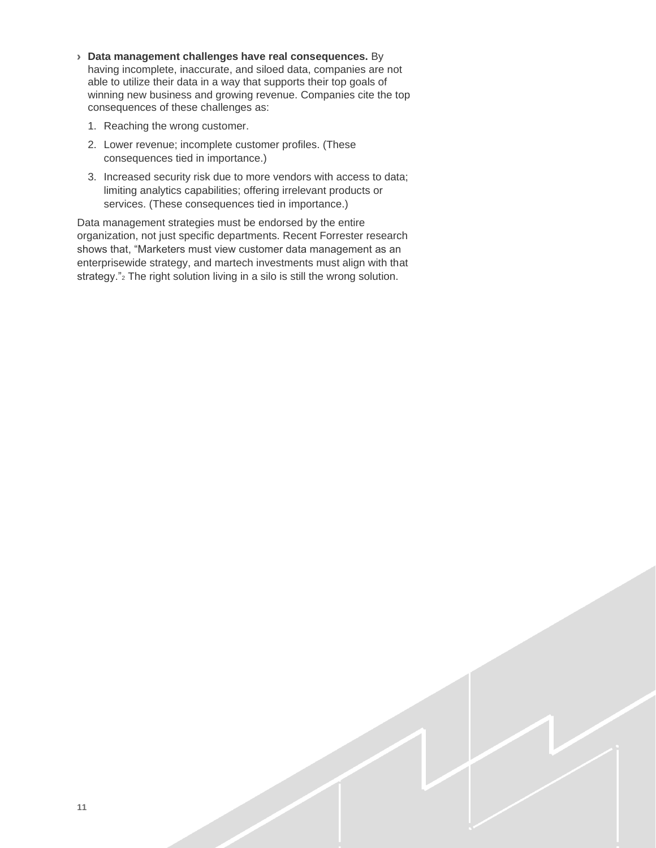- › **Data management challenges have real consequences.** By having incomplete, inaccurate, and siloed data, companies are not able to utilize their data in a way that supports their top goals of winning new business and growing revenue. Companies cite the top consequences of these challenges as:
	- 1. Reaching the wrong customer.
	- 2. Lower revenue; incomplete customer profiles. (These consequences tied in importance.)
	- 3. Increased security risk due to more vendors with access to data; limiting analytics capabilities; offering irrelevant products or services. (These consequences tied in importance.)

Data management strategies must be endorsed by the entire organization, not just specific departments. Recent Forrester research shows that, "Marketers must view customer data management as an enterprisewide strategy, and martech investments must align with that strategy."<sup>2</sup> The right solution living in a silo is still the wrong solution.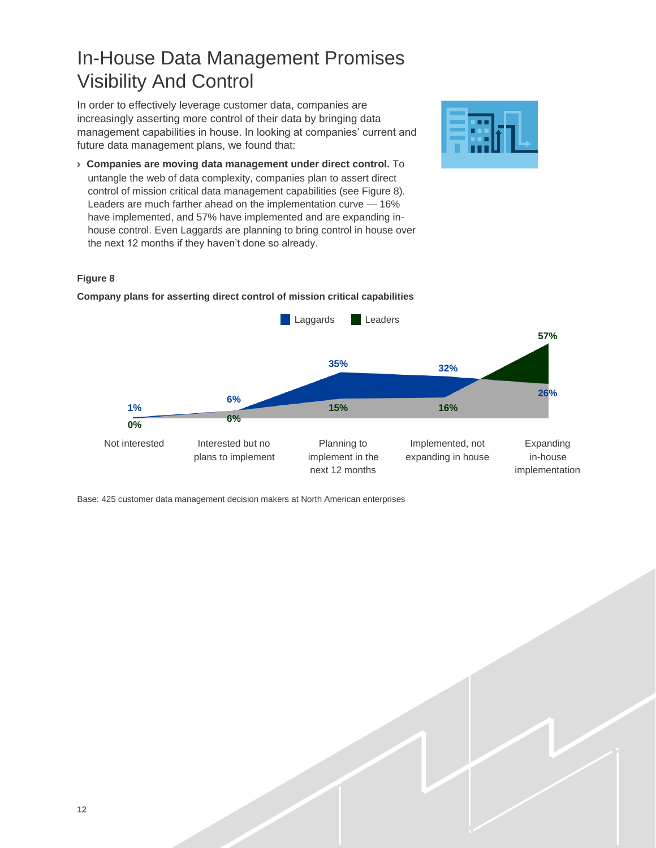## In-House Data Management Promises Visibility And Control

In order to effectively leverage customer data, companies are increasingly asserting more control of their data by bringing data management capabilities in house. In looking at companies' current and future data management plans, we found that:

› **Companies are moving data management under direct control.** To untangle the web of data complexity, companies plan to assert direct control of mission critical data management capabilities (see Figure 8). Leaders are much farther ahead on the implementation curve — 16% have implemented, and 57% have implemented and are expanding inhouse control. Even Laggards are planning to bring control in house over the next 12 months if they haven't done so already.



#### **Figure 8**

**Laggards** Leaders **57% 35% 32% 6% 26% 1% 15% 16% 6% 0%** Not interested Interested but no Planning to Implemented, not Expanding plans to implement implement in the expanding in house in-house next 12 months implementation

**Company plans for asserting direct control of mission critical capabilities**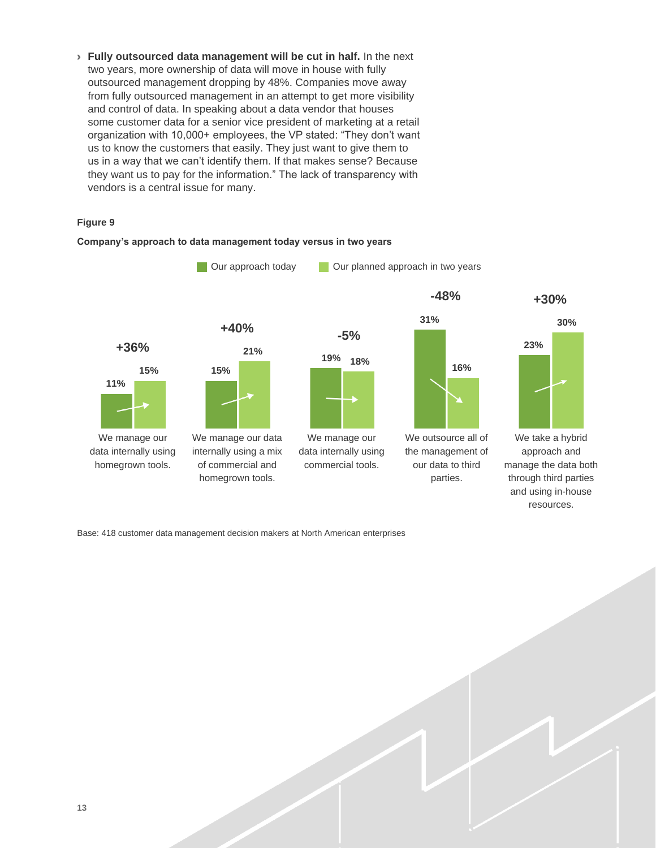› **Fully outsourced data management will be cut in half.** In the next two years, more ownership of data will move in house with fully outsourced management dropping by 48%. Companies move away from fully outsourced management in an attempt to get more visibility and control of data. In speaking about a data vendor that houses some customer data for a senior vice president of marketing at a retail organization with 10,000+ employees, the VP stated: "They don't want us to know the customers that easily. They just want to give them to us in a way that we can't identify them. If that makes sense? Because they want us to pay for the information." The lack of transparency with vendors is a central issue for many.

#### **Figure 9**



**Company's approach to data management today versus in two years**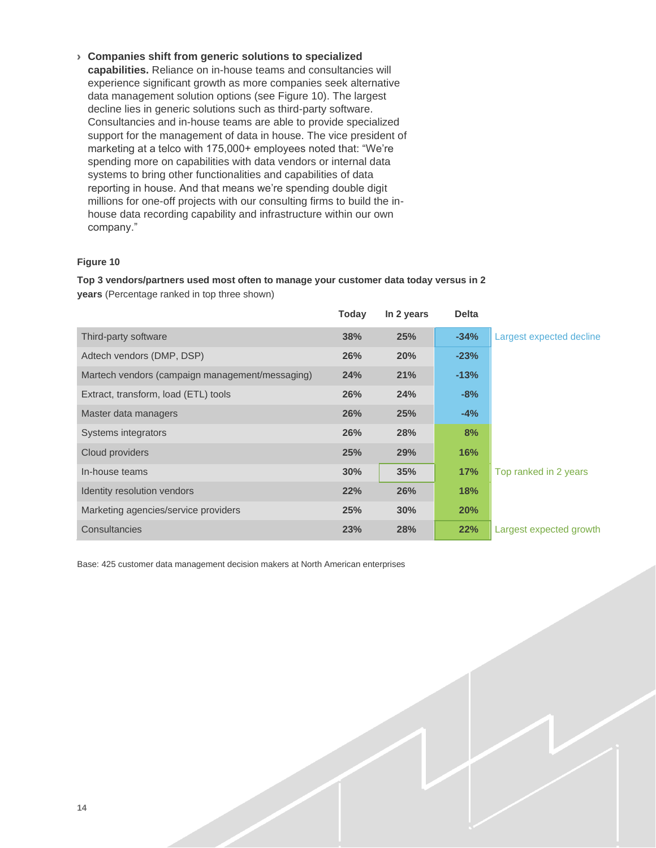› **Companies shift from generic solutions to specialized capabilities.** Reliance on in-house teams and consultancies will experience significant growth as more companies seek alternative data management solution options (see Figure 10). The largest decline lies in generic solutions such as third-party software. Consultancies and in-house teams are able to provide specialized support for the management of data in house. The vice president of marketing at a telco with 175,000+ employees noted that: "We're spending more on capabilities with data vendors or internal data systems to bring other functionalities and capabilities of data reporting in house. And that means we're spending double digit millions for one-off projects with our consulting firms to build the inhouse data recording capability and infrastructure within our own company."

#### **Figure 10**

**Top 3 vendors/partners used most often to manage your customer data today versus in 2 years** (Percentage ranked in top three shown)

|                                                 | Today      | In 2 years | <b>Delta</b> |                          |
|-------------------------------------------------|------------|------------|--------------|--------------------------|
| Third-party software                            | 38%        | 25%        | $-34%$       | Largest expected decline |
| Adtech vendors (DMP, DSP)                       | 26%        | 20%        | $-23%$       |                          |
| Martech vendors (campaign management/messaging) | 24%        | 21%        | $-13%$       |                          |
| Extract, transform, load (ETL) tools            | <b>26%</b> | 24%        | $-8%$        |                          |
| Master data managers                            | 26%        | 25%        | $-4%$        |                          |
| Systems integrators                             | 26%        | <b>28%</b> | 8%           |                          |
| Cloud providers                                 | 25%        | 29%        | 16%          |                          |
| In-house teams                                  | 30%        | 35%        | 17%          | Top ranked in 2 years    |
| Identity resolution vendors                     | 22%        | 26%        | 18%          |                          |
| Marketing agencies/service providers            | 25%        | 30%        | 20%          |                          |
| Consultancies                                   | 23%        | 28%        | 22%          | Largest expected growth  |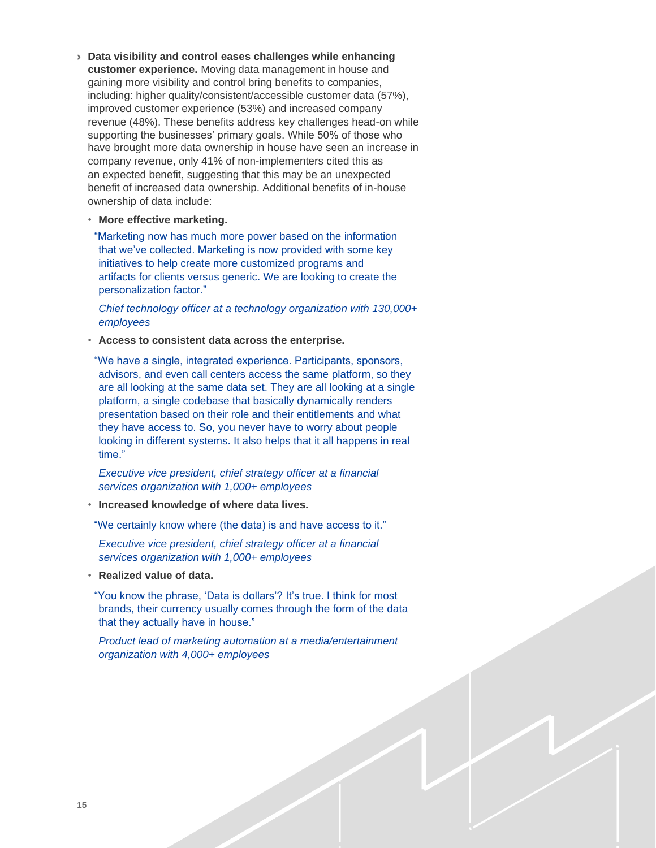- › **Data visibility and control eases challenges while enhancing customer experience.** Moving data management in house and gaining more visibility and control bring benefits to companies, including: higher quality/consistent/accessible customer data (57%), improved customer experience (53%) and increased company revenue (48%). These benefits address key challenges head-on while supporting the businesses' primary goals. While 50% of those who have brought more data ownership in house have seen an increase in company revenue, only 41% of non-implementers cited this as an expected benefit, suggesting that this may be an unexpected benefit of increased data ownership. Additional benefits of in-house ownership of data include:
	- **More effective marketing.**

"Marketing now has much more power based on the information that we've collected. Marketing is now provided with some key initiatives to help create more customized programs and artifacts for clients versus generic. We are looking to create the personalization factor."

*Chief technology officer at a technology organization with 130,000+ employees*

• **Access to consistent data across the enterprise.**

"We have a single, integrated experience. Participants, sponsors, advisors, and even call centers access the same platform, so they are all looking at the same data set. They are all looking at a single platform, a single codebase that basically dynamically renders presentation based on their role and their entitlements and what they have access to. So, you never have to worry about people looking in different systems. It also helps that it all happens in real time."

*Executive vice president, chief strategy officer at a financial services organization with 1,000+ employees*

• **Increased knowledge of where data lives.**

"We certainly know where (the data) is and have access to it."

*Executive vice president, chief strategy officer at a financial services organization with 1,000+ employees*

• **Realized value of data.**

"You know the phrase, 'Data is dollars'? It's true. I think for most brands, their currency usually comes through the form of the data that they actually have in house."

*Product lead of marketing automation at a media/entertainment organization with 4,000+ employees*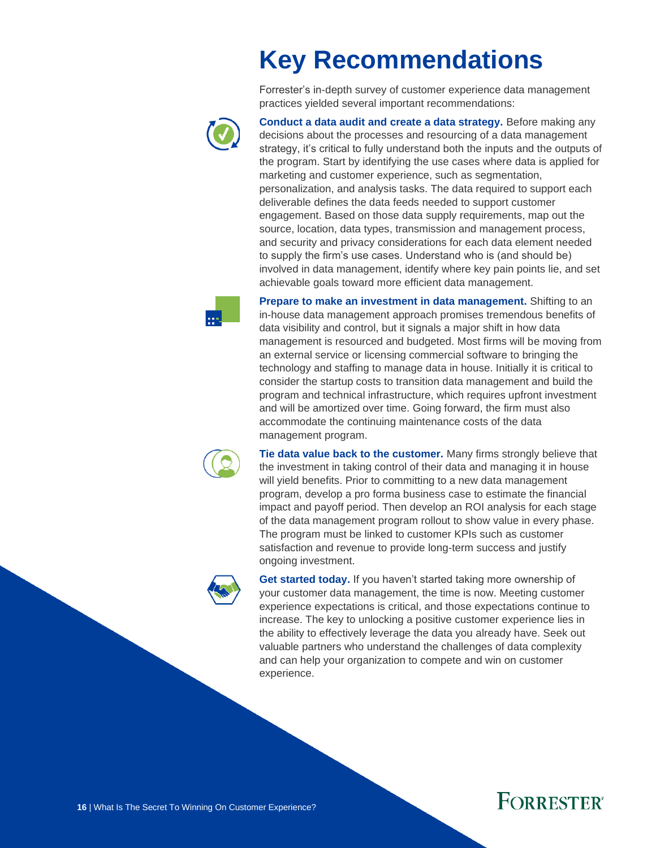# **Key Recommendations**

Forrester's in-depth survey of customer experience data management practices yielded several important recommendations:



**Conduct a data audit and create a data strategy.** Before making any decisions about the processes and resourcing of a data management strategy, it's critical to fully understand both the inputs and the outputs of the program. Start by identifying the use cases where data is applied for marketing and customer experience, such as segmentation, personalization, and analysis tasks. The data required to support each deliverable defines the data feeds needed to support customer engagement. Based on those data supply requirements, map out the source, location, data types, transmission and management process, and security and privacy considerations for each data element needed to supply the firm's use cases. Understand who is (and should be) involved in data management, identify where key pain points lie, and set achievable goals toward more efficient data management.



**Prepare to make an investment in data management.** Shifting to an in-house data management approach promises tremendous benefits of data visibility and control, but it signals a major shift in how data management is resourced and budgeted. Most firms will be moving from an external service or licensing commercial software to bringing the technology and staffing to manage data in house. Initially it is critical to consider the startup costs to transition data management and build the program and technical infrastructure, which requires upfront investment and will be amortized over time. Going forward, the firm must also accommodate the continuing maintenance costs of the data management program.



**Tie data value back to the customer.** Many firms strongly believe that the investment in taking control of their data and managing it in house will yield benefits. Prior to committing to a new data management program, develop a pro forma business case to estimate the financial impact and payoff period. Then develop an ROI analysis for each stage of the data management program rollout to show value in every phase. The program must be linked to customer KPIs such as customer satisfaction and revenue to provide long-term success and justify ongoing investment.



**Get started today.** If you haven't started taking more ownership of your customer data management, the time is now. Meeting customer experience expectations is critical, and those expectations continue to increase. The key to unlocking a positive customer experience lies in the ability to effectively leverage the data you already have. Seek out valuable partners who understand the challenges of data complexity and can help your organization to compete and win on customer experience.

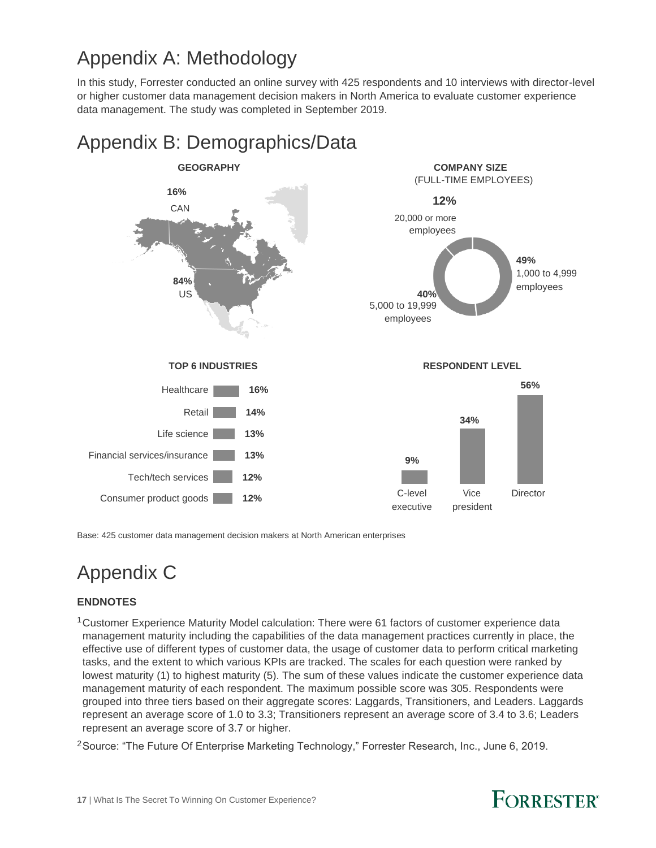## Appendix A: Methodology

In this study, Forrester conducted an online survey with 425 respondents and 10 interviews with director-level or higher customer data management decision makers in North America to evaluate customer experience data management. The study was completed in September 2019.



### Appendix B: Demographics/Data

Base: 425 customer data management decision makers at North American enterprises

# Appendix C

#### **ENDNOTES**

<sup>1</sup> Customer Experience Maturity Model calculation: There were 61 factors of customer experience data management maturity including the capabilities of the data management practices currently in place, the effective use of different types of customer data, the usage of customer data to perform critical marketing tasks, and the extent to which various KPIs are tracked. The scales for each question were ranked by lowest maturity (1) to highest maturity (5). The sum of these values indicate the customer experience data management maturity of each respondent. The maximum possible score was 305. Respondents were grouped into three tiers based on their aggregate scores: Laggards, Transitioners, and Leaders. Laggards represent an average score of 1.0 to 3.3; Transitioners represent an average score of 3.4 to 3.6; Leaders represent an average score of 3.7 or higher.

<sup>2</sup>Source: "The Future Of Enterprise Marketing Technology," Forrester Research, Inc., June 6, 2019.